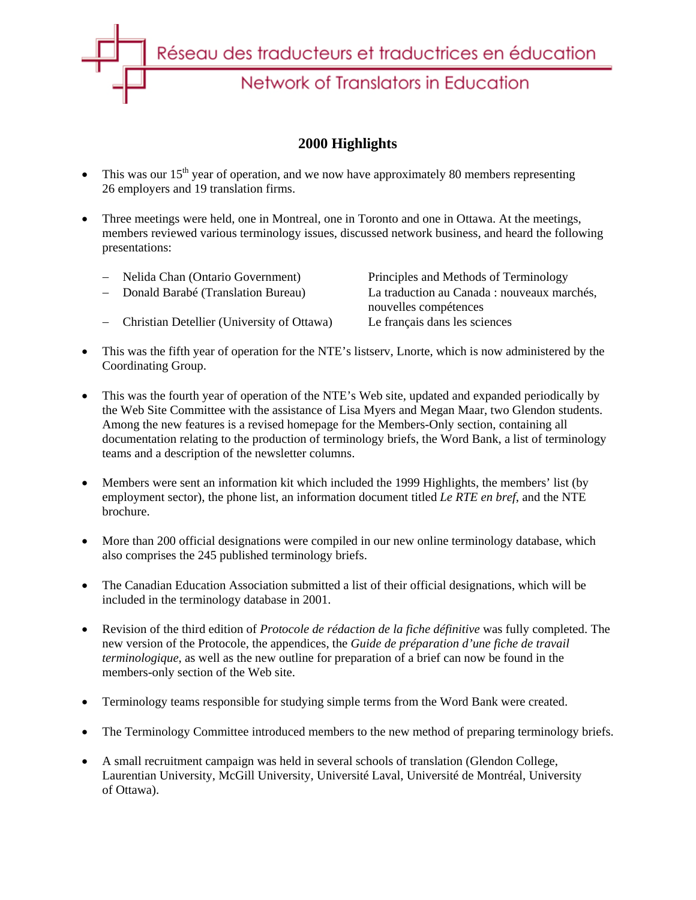

## **2000 Highlights**

- This was our  $15<sup>th</sup>$  year of operation, and we now have approximately 80 members representing 26 employers and 19 translation firms.
- Three meetings were held, one in Montreal, one in Toronto and one in Ottawa. At the meetings, members reviewed various terminology issues, discussed network business, and heard the following presentations:

| - Nelida Chan (Ontario Government)           | Principles and Methods of Terminology       |
|----------------------------------------------|---------------------------------------------|
| - Donald Barabé (Translation Bureau)         | La traduction au Canada : nouveaux marchés, |
|                                              | nouvelles compétences                       |
| - Christian Detellier (University of Ottawa) | Le français dans les sciences               |
|                                              |                                             |

- This was the fifth year of operation for the NTE's listserv, Lnorte, which is now administered by the Coordinating Group.
- This was the fourth year of operation of the NTE's Web site, updated and expanded periodically by the Web Site Committee with the assistance of Lisa Myers and Megan Maar, two Glendon students. Among the new features is a revised homepage for the Members-Only section, containing all documentation relating to the production of terminology briefs, the Word Bank, a list of terminology teams and a description of the newsletter columns.
- Members were sent an information kit which included the 1999 Highlights, the members' list (by employment sector), the phone list, an information document titled *Le RTE en bref*, and the NTE brochure.
- More than 200 official designations were compiled in our new online terminology database, which also comprises the 245 published terminology briefs.
- The Canadian Education Association submitted a list of their official designations, which will be included in the terminology database in 2001.
- Revision of the third edition of *Protocole de rédaction de la fiche définitive* was fully completed. The new version of the Protocole, the appendices, the *Guide de préparation d'une fiche de travail terminologique*, as well as the new outline for preparation of a brief can now be found in the members-only section of the Web site.
- Terminology teams responsible for studying simple terms from the Word Bank were created.
- The Terminology Committee introduced members to the new method of preparing terminology briefs.
- A small recruitment campaign was held in several schools of translation (Glendon College, Laurentian University, McGill University, Université Laval, Université de Montréal, University of Ottawa).